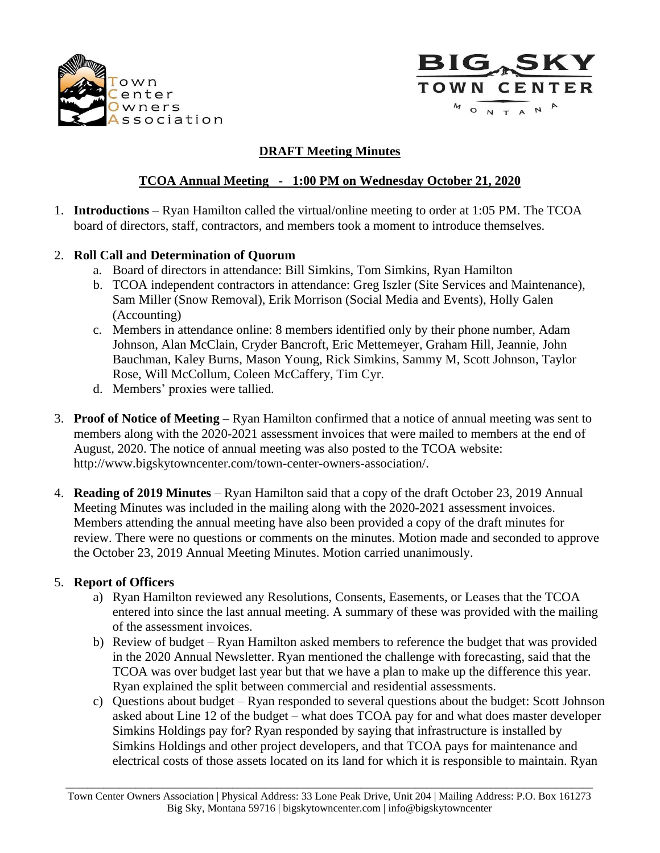



### **DRAFT Meeting Minutes**

# **TCOA Annual Meeting - 1:00 PM on Wednesday October 21, 2020**

1. **Introductions** – Ryan Hamilton called the virtual/online meeting to order at 1:05 PM. The TCOA board of directors, staff, contractors, and members took a moment to introduce themselves.

#### 2. **Roll Call and Determination of Quorum**

- a. Board of directors in attendance: Bill Simkins, Tom Simkins, Ryan Hamilton
- b. TCOA independent contractors in attendance: Greg Iszler (Site Services and Maintenance), Sam Miller (Snow Removal), Erik Morrison (Social Media and Events), Holly Galen (Accounting)
- c. Members in attendance online: 8 members identified only by their phone number, Adam Johnson, Alan McClain, Cryder Bancroft, Eric Mettemeyer, Graham Hill, Jeannie, John Bauchman, Kaley Burns, Mason Young, Rick Simkins, Sammy M, Scott Johnson, Taylor Rose, Will McCollum, Coleen McCaffery, Tim Cyr.
- d. Members' proxies were tallied.
- 3. **Proof of Notice of Meeting** Ryan Hamilton confirmed that a notice of annual meeting was sent to members along with the 2020-2021 assessment invoices that were mailed to members at the end of August, 2020. The notice of annual meeting was also posted to the TCOA website: http://www.bigskytowncenter.com/town-center-owners-association/.
- 4. **Reading of 2019 Minutes** Ryan Hamilton said that a copy of the draft October 23, 2019 Annual Meeting Minutes was included in the mailing along with the 2020-2021 assessment invoices. Members attending the annual meeting have also been provided a copy of the draft minutes for review. There were no questions or comments on the minutes. Motion made and seconded to approve the October 23, 2019 Annual Meeting Minutes. Motion carried unanimously.

# 5. **Report of Officers**

- a) Ryan Hamilton reviewed any Resolutions, Consents, Easements, or Leases that the TCOA entered into since the last annual meeting. A summary of these was provided with the mailing of the assessment invoices.
- b) Review of budget Ryan Hamilton asked members to reference the budget that was provided in the 2020 Annual Newsletter. Ryan mentioned the challenge with forecasting, said that the TCOA was over budget last year but that we have a plan to make up the difference this year. Ryan explained the split between commercial and residential assessments.
- c) Questions about budget Ryan responded to several questions about the budget: Scott Johnson asked about Line 12 of the budget – what does TCOA pay for and what does master developer Simkins Holdings pay for? Ryan responded by saying that infrastructure is installed by Simkins Holdings and other project developers, and that TCOA pays for maintenance and electrical costs of those assets located on its land for which it is responsible to maintain. Ryan

 $\_$  ,  $\_$  ,  $\_$  ,  $\_$  ,  $\_$  ,  $\_$  ,  $\_$  ,  $\_$  ,  $\_$  ,  $\_$  ,  $\_$  ,  $\_$  ,  $\_$  ,  $\_$  ,  $\_$  ,  $\_$  ,  $\_$  ,  $\_$  ,  $\_$  ,  $\_$  ,  $\_$  ,  $\_$  ,  $\_$  ,  $\_$  ,  $\_$  ,  $\_$  ,  $\_$  ,  $\_$  ,  $\_$  ,  $\_$  ,  $\_$  ,  $\_$  ,  $\_$  ,  $\_$  ,  $\_$  ,  $\_$  ,  $\_$  , Town Center Owners Association | Physical Address: 33 Lone Peak Drive, Unit 204 | Mailing Address: P.O. Box 161273 Big Sky, Montana 59716 | bigskytowncenter.com | info@bigskytowncenter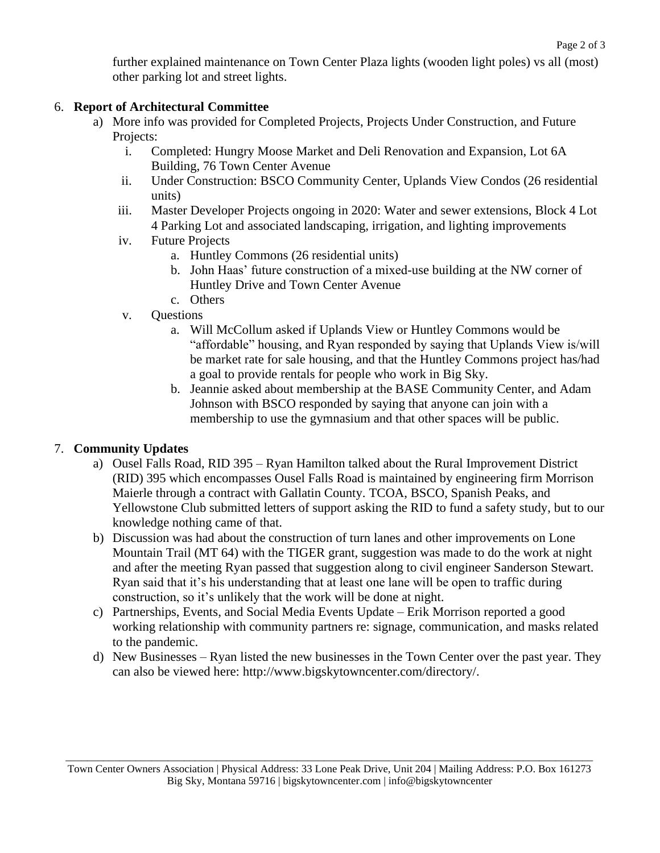further explained maintenance on Town Center Plaza lights (wooden light poles) vs all (most) other parking lot and street lights.

### 6. **Report of Architectural Committee**

- a) More info was provided for Completed Projects, Projects Under Construction, and Future Projects:
	- i. Completed: Hungry Moose Market and Deli Renovation and Expansion, Lot 6A Building, 76 Town Center Avenue
	- ii. Under Construction: BSCO Community Center, Uplands View Condos (26 residential units)
	- iii. Master Developer Projects ongoing in 2020: Water and sewer extensions, Block 4 Lot 4 Parking Lot and associated landscaping, irrigation, and lighting improvements
	- iv. Future Projects
		- a. Huntley Commons (26 residential units)
		- b. John Haas' future construction of a mixed-use building at the NW corner of Huntley Drive and Town Center Avenue
		- c. Others
	- v. Questions
		- a. Will McCollum asked if Uplands View or Huntley Commons would be "affordable" housing, and Ryan responded by saying that Uplands View is/will be market rate for sale housing, and that the Huntley Commons project has/had a goal to provide rentals for people who work in Big Sky.
		- b. Jeannie asked about membership at the BASE Community Center, and Adam Johnson with BSCO responded by saying that anyone can join with a membership to use the gymnasium and that other spaces will be public.

# 7. **Community Updates**

- a) Ousel Falls Road, RID 395 Ryan Hamilton talked about the Rural Improvement District (RID) 395 which encompasses Ousel Falls Road is maintained by engineering firm Morrison Maierle through a contract with Gallatin County. TCOA, BSCO, Spanish Peaks, and Yellowstone Club submitted letters of support asking the RID to fund a safety study, but to our knowledge nothing came of that.
- b) Discussion was had about the construction of turn lanes and other improvements on Lone Mountain Trail (MT 64) with the TIGER grant, suggestion was made to do the work at night and after the meeting Ryan passed that suggestion along to civil engineer Sanderson Stewart. Ryan said that it's his understanding that at least one lane will be open to traffic during construction, so it's unlikely that the work will be done at night.
- c) Partnerships, Events, and Social Media Events Update Erik Morrison reported a good working relationship with community partners re: signage, communication, and masks related to the pandemic.
- d) New Businesses Ryan listed the new businesses in the Town Center over the past year. They can also be viewed here: http://www.bigskytowncenter.com/directory/.

 $\_$  ,  $\_$  ,  $\_$  ,  $\_$  ,  $\_$  ,  $\_$  ,  $\_$  ,  $\_$  ,  $\_$  ,  $\_$  ,  $\_$  ,  $\_$  ,  $\_$  ,  $\_$  ,  $\_$  ,  $\_$  ,  $\_$  ,  $\_$  ,  $\_$  ,  $\_$  ,  $\_$  ,  $\_$  ,  $\_$  ,  $\_$  ,  $\_$  ,  $\_$  ,  $\_$  ,  $\_$  ,  $\_$  ,  $\_$  ,  $\_$  ,  $\_$  ,  $\_$  ,  $\_$  ,  $\_$  ,  $\_$  ,  $\_$  , Town Center Owners Association | Physical Address: 33 Lone Peak Drive, Unit 204 | Mailing Address: P.O. Box 161273 Big Sky, Montana 59716 | bigskytowncenter.com | info@bigskytowncenter